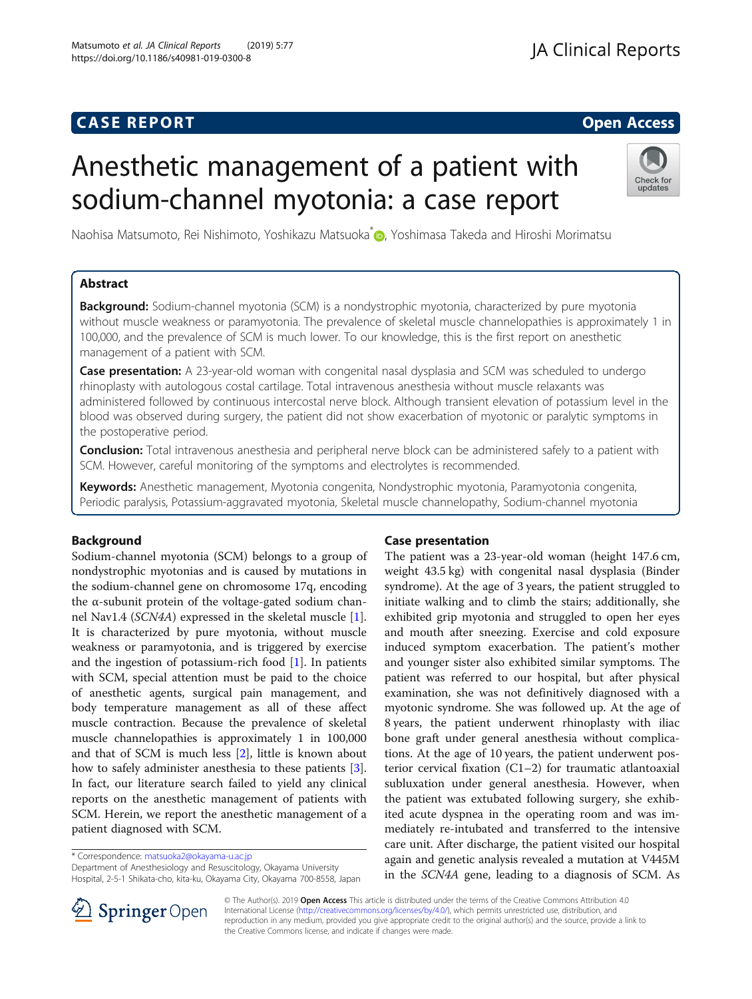## **CASE REPORT And SERVICE SERVICE SERVICE SERVICE SERVICE SERVICE SERVICE SERVICE SERVICE SERVICE SERVICE SERVICE**

# Anesthetic management of a patient with sodium-channel myotonia: a case report

Naohisa Matsumoto[,](http://orcid.org/0000-0002-6885-1982) Rei Nishimoto, Yoshikazu Matsuoka <sup>\*</sup> , Yoshimasa Takeda and Hiroshi Morimatsu

## Abstract

**Background:** Sodium-channel myotonia (SCM) is a nondystrophic myotonia, characterized by pure myotonia without muscle weakness or paramyotonia. The prevalence of skeletal muscle channelopathies is approximately 1 in 100,000, and the prevalence of SCM is much lower. To our knowledge, this is the first report on anesthetic management of a patient with SCM.

Case presentation: A 23-year-old woman with congenital nasal dysplasia and SCM was scheduled to undergo rhinoplasty with autologous costal cartilage. Total intravenous anesthesia without muscle relaxants was administered followed by continuous intercostal nerve block. Although transient elevation of potassium level in the blood was observed during surgery, the patient did not show exacerbation of myotonic or paralytic symptoms in the postoperative period.

Conclusion: Total intravenous anesthesia and peripheral nerve block can be administered safely to a patient with SCM. However, careful monitoring of the symptoms and electrolytes is recommended.

Keywords: Anesthetic management, Myotonia congenita, Nondystrophic myotonia, Paramyotonia congenita, Periodic paralysis, Potassium-aggravated myotonia, Skeletal muscle channelopathy, Sodium-channel myotonia

## Background

Sodium-channel myotonia (SCM) belongs to a group of nondystrophic myotonias and is caused by mutations in the sodium-channel gene on chromosome 17q, encoding the α-subunit protein of the voltage-gated sodium channel Nav1.4 (SCN4A) expressed in the skeletal muscle [\[1](#page-3-0)]. It is characterized by pure myotonia, without muscle weakness or paramyotonia, and is triggered by exercise and the ingestion of potassium-rich food [[1\]](#page-3-0). In patients with SCM, special attention must be paid to the choice of anesthetic agents, surgical pain management, and body temperature management as all of these affect muscle contraction. Because the prevalence of skeletal muscle channelopathies is approximately 1 in 100,000 and that of SCM is much less [[2\]](#page-3-0), little is known about how to safely administer anesthesia to these patients [\[3](#page-3-0)]. In fact, our literature search failed to yield any clinical reports on the anesthetic management of patients with SCM. Herein, we report the anesthetic management of a patient diagnosed with SCM.

\* Correspondence: [matsuoka2@okayama-u.ac.jp](mailto:matsuoka2@okayama-u.ac.jp)

Department of Anesthesiology and Resuscitology, Okayama University Hospital, 2-5-1 Shikata-cho, kita-ku, Okayama City, Okayama 700-8558, Japan

## Case presentation

The patient was a 23-year-old woman (height 147.6 cm, weight 43.5 kg) with congenital nasal dysplasia (Binder syndrome). At the age of 3 years, the patient struggled to initiate walking and to climb the stairs; additionally, she exhibited grip myotonia and struggled to open her eyes and mouth after sneezing. Exercise and cold exposure induced symptom exacerbation. The patient's mother and younger sister also exhibited similar symptoms. The patient was referred to our hospital, but after physical examination, she was not definitively diagnosed with a myotonic syndrome. She was followed up. At the age of 8 years, the patient underwent rhinoplasty with iliac bone graft under general anesthesia without complications. At the age of 10 years, the patient underwent posterior cervical fixation (C1–2) for traumatic atlantoaxial subluxation under general anesthesia. However, when the patient was extubated following surgery, she exhibited acute dyspnea in the operating room and was immediately re-intubated and transferred to the intensive care unit. After discharge, the patient visited our hospital again and genetic analysis revealed a mutation at V445M in the SCN4A gene, leading to a diagnosis of SCM. As

© The Author(s). 2019 Open Access This article is distributed under the terms of the Creative Commons Attribution 4.0 International License ([http://creativecommons.org/licenses/by/4.0/\)](http://creativecommons.org/licenses/by/4.0/), which permits unrestricted use, distribution, and reproduction in any medium, provided you give appropriate credit to the original author(s) and the source, provide a link to the Creative Commons license, and indicate if changes were made.



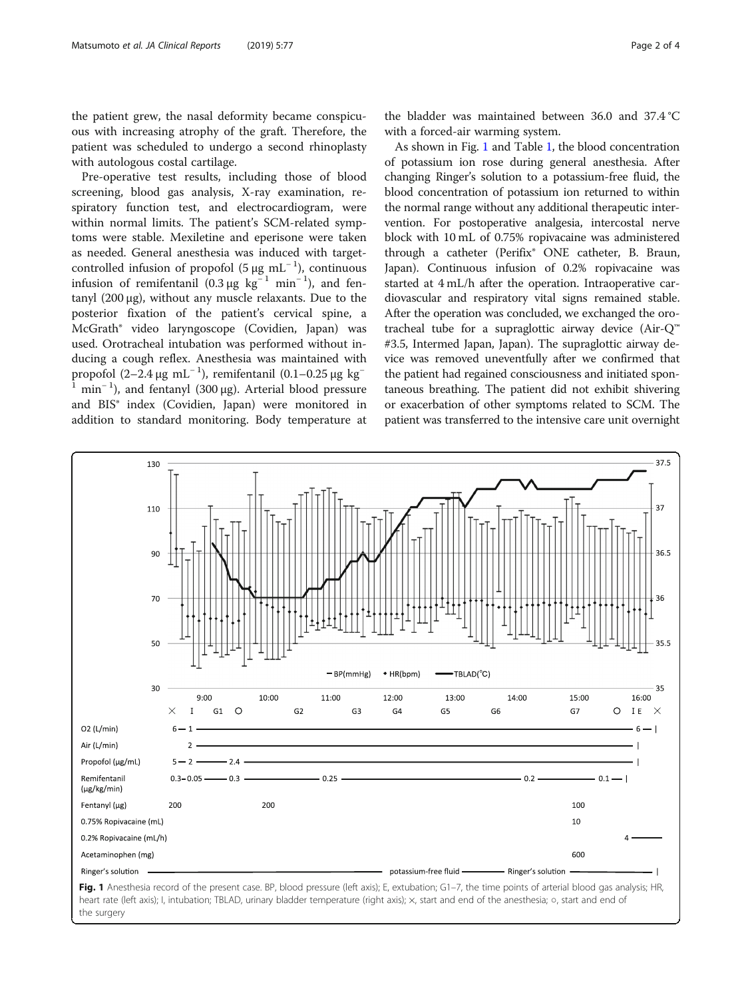<span id="page-1-0"></span>the patient grew, the nasal deformity became conspicuous with increasing atrophy of the graft. Therefore, the patient was scheduled to undergo a second rhinoplasty with autologous costal cartilage.

Pre-operative test results, including those of blood screening, blood gas analysis, X-ray examination, respiratory function test, and electrocardiogram, were within normal limits. The patient's SCM-related symptoms were stable. Mexiletine and eperisone were taken as needed. General anesthesia was induced with targetcontrolled infusion of propofol  $(5 \mu g \text{ mL}^{-1})$ , continuous infusion of remifentanil  $(0.3 \mu g kg^{-1} m i n^{-1})$ , and fentanyl (200 μg), without any muscle relaxants. Due to the posterior fixation of the patient's cervical spine, a McGrath® video laryngoscope (Covidien, Japan) was used. Orotracheal intubation was performed without inducing a cough reflex. Anesthesia was maintained with propofol (2-2.4 μg mL<sup>-1</sup>), remifentanil (0.1-0.25 μg kg<sup>-</sup> <sup>1</sup> min<sup>−</sup> <sup>1</sup> ), and fentanyl (300 μg). Arterial blood pressure and BIS® index (Covidien, Japan) were monitored in addition to standard monitoring. Body temperature at

As shown in Fig. 1 and Table [1](#page-2-0), the blood concentration of potassium ion rose during general anesthesia. After changing Ringer's solution to a potassium-free fluid, the blood concentration of potassium ion returned to within the normal range without any additional therapeutic intervention. For postoperative analgesia, intercostal nerve block with 10 mL of 0.75% ropivacaine was administered through a catheter (Perifix® ONE catheter, B. Braun, Japan). Continuous infusion of 0.2% ropivacaine was started at 4 mL/h after the operation. Intraoperative cardiovascular and respiratory vital signs remained stable. After the operation was concluded, we exchanged the orotracheal tube for a supraglottic airway device (Air-Q™ #3.5, Intermed Japan, Japan). The supraglottic airway device was removed uneventfully after we confirmed that the patient had regained consciousness and initiated spontaneous breathing. The patient did not exhibit shivering or exacerbation of other symptoms related to SCM. The patient was transferred to the intensive care unit overnight



heart rate (left axis); I, intubation; TBLAD, urinary bladder temperature (right axis); ×, start and end of the anesthesia; o, start and end of the surgery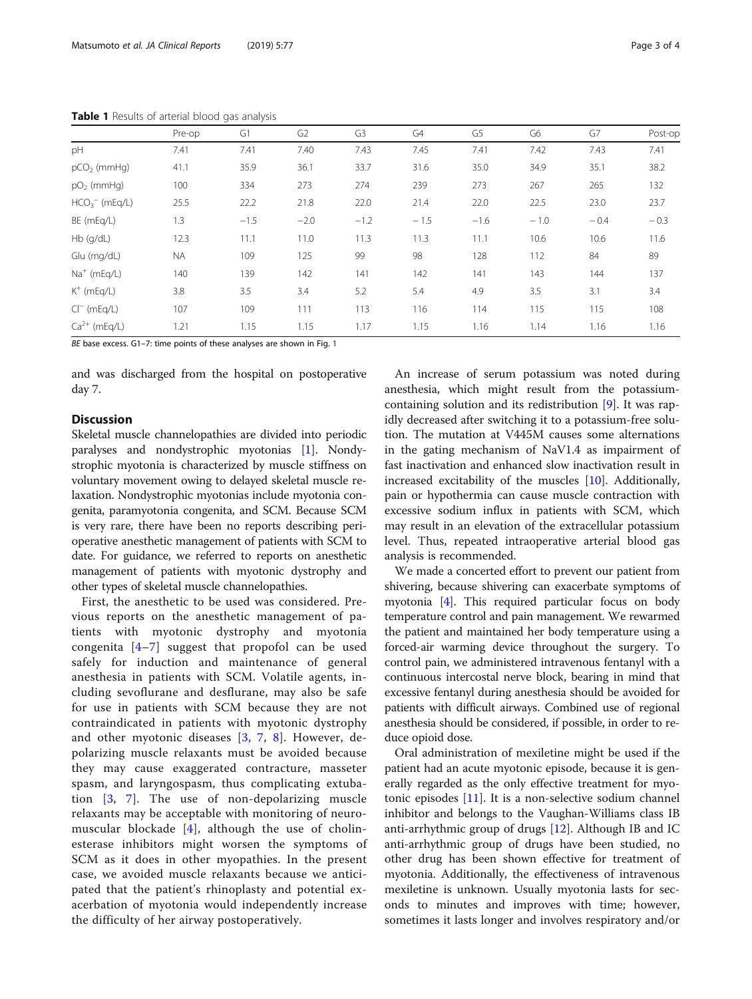|                   | Pre-op    | G1     | G <sub>2</sub> | G <sub>3</sub> | G4     | G5     | G6     | G7     | Post-op |
|-------------------|-----------|--------|----------------|----------------|--------|--------|--------|--------|---------|
| pH                | 7.41      | 7.41   | 7.40           | 7.43           | 7.45   | 7.41   | 7.42   | 7.43   | 7.41    |
| $pCO2$ (mmHq)     | 41.1      | 35.9   | 36.1           | 33.7           | 31.6   | 35.0   | 34.9   | 35.1   | 38.2    |
| $pO2$ (mmHg)      | 100       | 334    | 273            | 274            | 239    | 273    | 267    | 265    | 132     |
| $HCO3-$ (mEg/L)   | 25.5      | 22.2   | 21.8           | 22.0           | 21.4   | 22.0   | 22.5   | 23.0   | 23.7    |
| BE (mEg/L)        | 1.3       | $-1.5$ | $-2.0$         | $-1.2$         | $-1.5$ | $-1.6$ | $-1.0$ | $-0.4$ | $-0.3$  |
| $Hb$ (q/dL)       | 12.3      | 11.1   | 11.0           | 11.3           | 11.3   | 11.1   | 10.6   | 10.6   | 11.6    |
| Glu (mg/dL)       | <b>NA</b> | 109    | 125            | 99             | 98     | 128    | 112    | 84     | 89      |
| $Na+$ (mEg/L)     | 140       | 139    | 142            | 141            | 142    | 141    | 143    | 144    | 137     |
| $K^+$ (mEg/L)     | 3.8       | 3.5    | 3.4            | 5.2            | 5.4    | 4.9    | 3.5    | 3.1    | 3.4     |
| $CI^-$ (mEg/L)    | 107       | 109    | 111            | 113            | 116    | 114    | 115    | 115    | 108     |
| $Ca^{2+}$ (mEg/L) | 1.21      | 1.15   | 1.15           | 1.17           | 1.15   | 1.16   | 1.14   | 1.16   | 1.16    |

<span id="page-2-0"></span>Table 1 Results of arterial blood gas analysis

BE base excess. G[1](#page-1-0)-7: time points of these analyses are shown in Fig. 1

and was discharged from the hospital on postoperative day 7.

## **Discussion**

Skeletal muscle channelopathies are divided into periodic paralyses and nondystrophic myotonias [[1\]](#page-3-0). Nondystrophic myotonia is characterized by muscle stiffness on voluntary movement owing to delayed skeletal muscle relaxation. Nondystrophic myotonias include myotonia congenita, paramyotonia congenita, and SCM. Because SCM is very rare, there have been no reports describing perioperative anesthetic management of patients with SCM to date. For guidance, we referred to reports on anesthetic management of patients with myotonic dystrophy and other types of skeletal muscle channelopathies.

First, the anesthetic to be used was considered. Previous reports on the anesthetic management of patients with myotonic dystrophy and myotonia congenita [\[4](#page-3-0)–[7\]](#page-3-0) suggest that propofol can be used safely for induction and maintenance of general anesthesia in patients with SCM. Volatile agents, including sevoflurane and desflurane, may also be safe for use in patients with SCM because they are not contraindicated in patients with myotonic dystrophy and other myotonic diseases [[3,](#page-3-0) [7,](#page-3-0) [8](#page-3-0)]. However, depolarizing muscle relaxants must be avoided because they may cause exaggerated contracture, masseter spasm, and laryngospasm, thus complicating extubation [[3,](#page-3-0) [7\]](#page-3-0). The use of non-depolarizing muscle relaxants may be acceptable with monitoring of neuromuscular blockade  $[4]$  $[4]$  $[4]$ , although the use of cholinesterase inhibitors might worsen the symptoms of SCM as it does in other myopathies. In the present case, we avoided muscle relaxants because we anticipated that the patient's rhinoplasty and potential exacerbation of myotonia would independently increase the difficulty of her airway postoperatively.

An increase of serum potassium was noted during anesthesia, which might result from the potassiumcontaining solution and its redistribution [\[9](#page-3-0)]. It was rapidly decreased after switching it to a potassium-free solution. The mutation at V445M causes some alternations in the gating mechanism of NaV1.4 as impairment of fast inactivation and enhanced slow inactivation result in increased excitability of the muscles [[10](#page-3-0)]. Additionally, pain or hypothermia can cause muscle contraction with excessive sodium influx in patients with SCM, which may result in an elevation of the extracellular potassium level. Thus, repeated intraoperative arterial blood gas analysis is recommended.

We made a concerted effort to prevent our patient from shivering, because shivering can exacerbate symptoms of myotonia [\[4](#page-3-0)]. This required particular focus on body temperature control and pain management. We rewarmed the patient and maintained her body temperature using a forced-air warming device throughout the surgery. To control pain, we administered intravenous fentanyl with a continuous intercostal nerve block, bearing in mind that excessive fentanyl during anesthesia should be avoided for patients with difficult airways. Combined use of regional anesthesia should be considered, if possible, in order to reduce opioid dose.

Oral administration of mexiletine might be used if the patient had an acute myotonic episode, because it is generally regarded as the only effective treatment for myotonic episodes  $[11]$  $[11]$ . It is a non-selective sodium channel inhibitor and belongs to the Vaughan-Williams class IB anti-arrhythmic group of drugs [[12\]](#page-3-0). Although IB and IC anti-arrhythmic group of drugs have been studied, no other drug has been shown effective for treatment of myotonia. Additionally, the effectiveness of intravenous mexiletine is unknown. Usually myotonia lasts for seconds to minutes and improves with time; however, sometimes it lasts longer and involves respiratory and/or